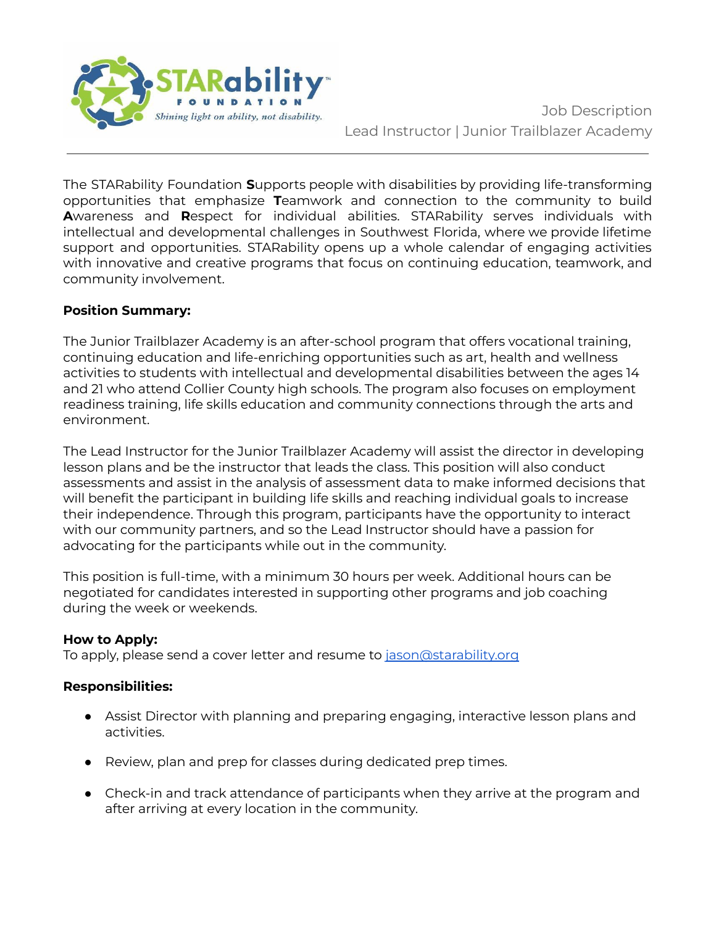

The STARability Foundation **S**upports people with disabilities by providing life-transforming opportunities that emphasize **T**eamwork and connection to the community to build **A**wareness and **R**espect for individual abilities. STARability serves individuals with intellectual and developmental challenges in Southwest Florida, where we provide lifetime support and opportunities. STARability opens up a whole calendar of engaging activities with innovative and creative programs that focus on continuing education, teamwork, and community involvement.

## **Position Summary:**

The Junior Trailblazer Academy is an after-school program that offers vocational training, continuing education and life-enriching opportunities such as art, health and wellness activities to students with intellectual and developmental disabilities between the ages 14 and 21 who attend Collier County high schools. The program also focuses on employment readiness training, life skills education and community connections through the arts and environment.

The Lead Instructor for the Junior Trailblazer Academy will assist the director in developing lesson plans and be the instructor that leads the class. This position will also conduct assessments and assist in the analysis of assessment data to make informed decisions that will benefit the participant in building life skills and reaching individual goals to increase their independence. Through this program, participants have the opportunity to interact with our community partners, and so the Lead Instructor should have a passion for advocating for the participants while out in the community.

This position is full-time, with a minimum 30 hours per week. Additional hours can be negotiated for candidates interested in supporting other programs and job coaching during the week or weekends.

## **How to Apply:**

To apply, please send a cover letter and resume to [jason@starability.org](mailto:jason@starability.org)

## **Responsibilities:**

- Assist Director with planning and preparing engaging, interactive lesson plans and activities.
- Review, plan and prep for classes during dedicated prep times.
- Check-in and track attendance of participants when they arrive at the program and after arriving at every location in the community.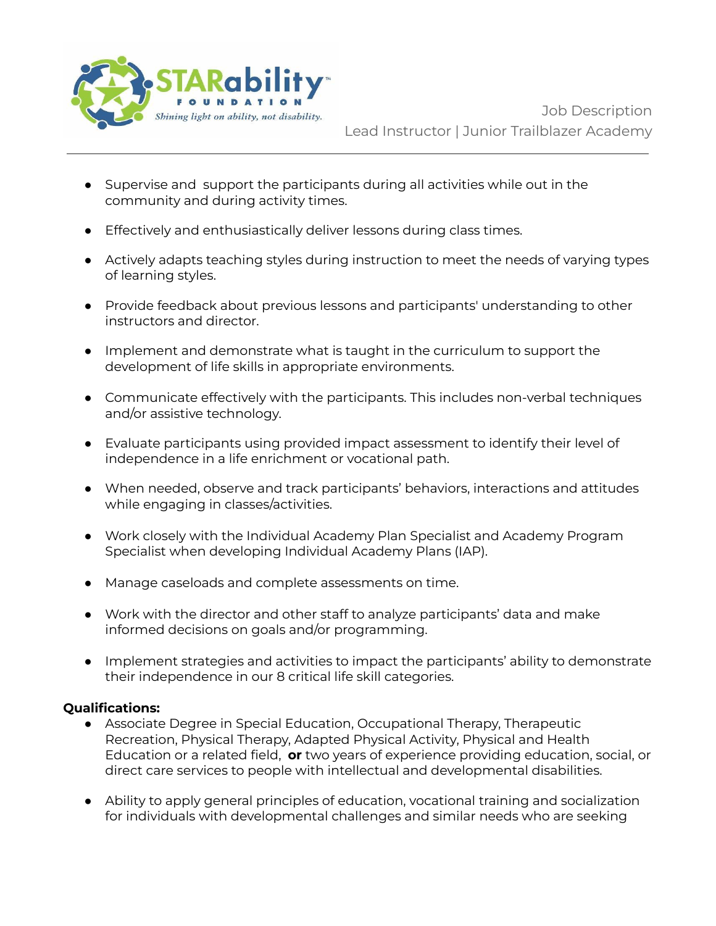

Job Description Lead Instructor | Junior Trailblazer Academy

- Supervise and support the participants during all activities while out in the community and during activity times.
- Effectively and enthusiastically deliver lessons during class times.
- Actively adapts teaching styles during instruction to meet the needs of varying types of learning styles.
- Provide feedback about previous lessons and participants' understanding to other instructors and director.
- Implement and demonstrate what is taught in the curriculum to support the development of life skills in appropriate environments.
- Communicate effectively with the participants. This includes non-verbal techniques and/or assistive technology.
- Evaluate participants using provided impact assessment to identify their level of independence in a life enrichment or vocational path.
- When needed, observe and track participants' behaviors, interactions and attitudes while engaging in classes/activities.
- Work closely with the Individual Academy Plan Specialist and Academy Program Specialist when developing Individual Academy Plans (IAP).
- Manage caseloads and complete assessments on time.
- Work with the director and other staff to analyze participants' data and make informed decisions on goals and/or programming.
- Implement strategies and activities to impact the participants' ability to demonstrate their independence in our 8 critical life skill categories.

## **Qualifications:**

- Associate Degree in Special Education, Occupational Therapy, Therapeutic Recreation, Physical Therapy, Adapted Physical Activity, Physical and Health Education or a related field, **or** two years of experience providing education, social, or direct care services to people with intellectual and developmental disabilities.
- Ability to apply general principles of education, vocational training and socialization for individuals with developmental challenges and similar needs who are seeking